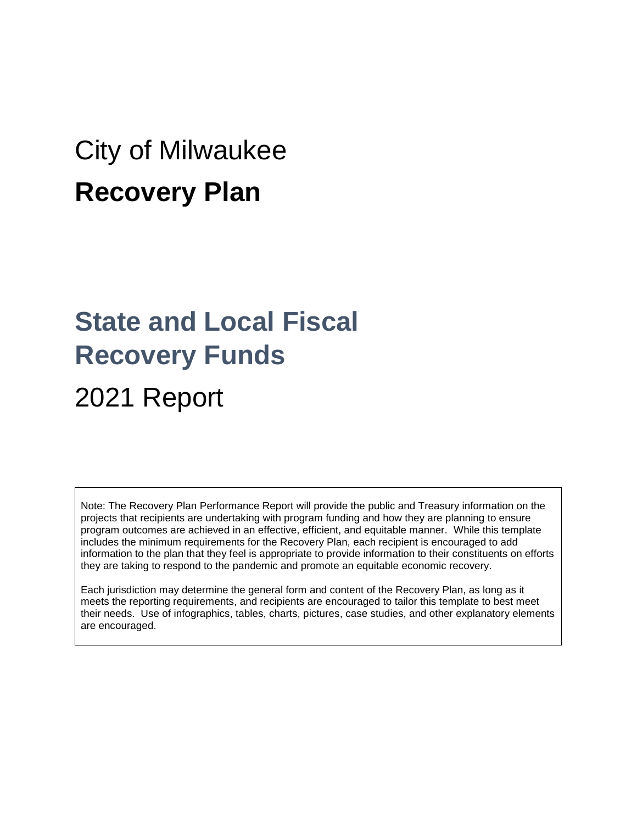# City of Milwaukee **Recovery Plan**

# **State and Local Fiscal Recovery Funds** 2021 Report

Note: The Recovery Plan Performance Report will provide the public and Treasury information on the projects that recipients are undertaking with program funding and how they are planning to ensure program outcomes are achieved in an effective, efficient, and equitable manner. While this template includes the minimum requirements for the Recovery Plan, each recipient is encouraged to add information to the plan that they feel is appropriate to provide information to their constituents on efforts they are taking to respond to the pandemic and promote an equitable economic recovery.

Each jurisdiction may determine the general form and content of the Recovery Plan, as long as it meets the reporting requirements, and recipients are encouraged to tailor this template to best meet their needs. Use of infographics, tables, charts, pictures, case studies, and other explanatory elements are encouraged.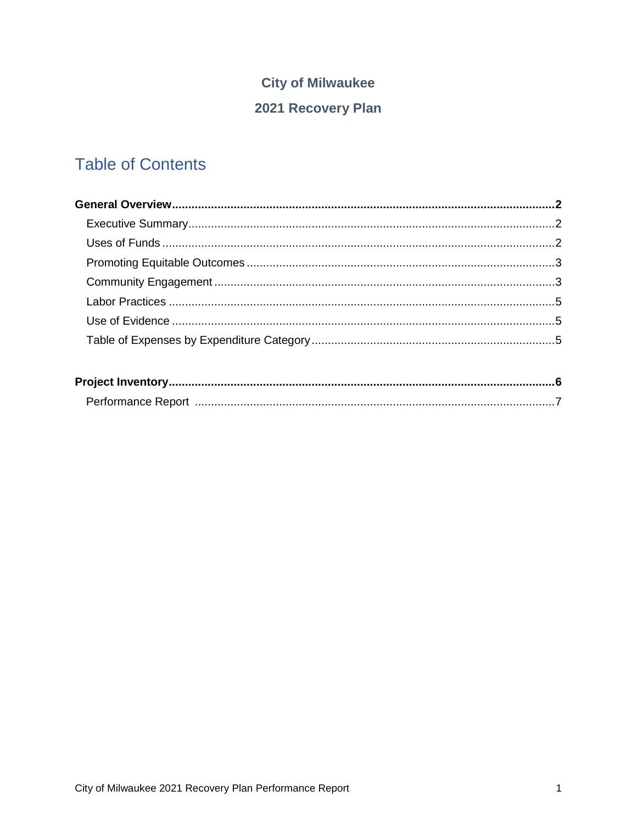### **City of Milwaukee**

### 2021 Recovery Plan

## **Table of Contents**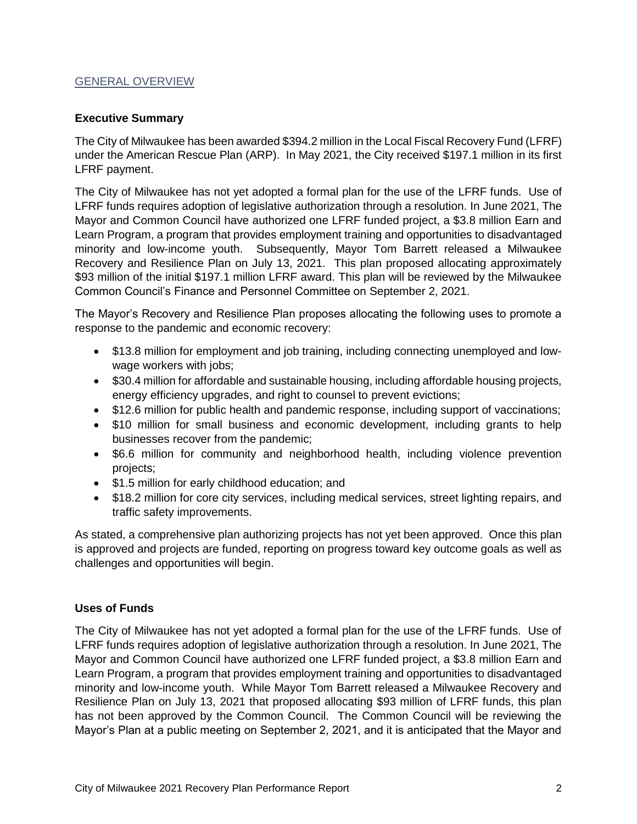#### GENERAL OVERVIEW

#### **Executive Summary**

The City of Milwaukee has been awarded \$394.2 million in the Local Fiscal Recovery Fund (LFRF) under the American Rescue Plan (ARP). In May 2021, the City received \$197.1 million in its first LFRF payment.

The City of Milwaukee has not yet adopted a formal plan for the use of the LFRF funds. Use of LFRF funds requires adoption of legislative authorization through a resolution. In June 2021, The Mayor and Common Council have authorized one LFRF funded project, a \$3.8 million Earn and Learn Program, a program that provides employment training and opportunities to disadvantaged minority and low-income youth. Subsequently, Mayor Tom Barrett released a Milwaukee Recovery and Resilience Plan on July 13, 2021. This plan proposed allocating approximately \$93 million of the initial \$197.1 million LFRF award. This plan will be reviewed by the Milwaukee Common Council's Finance and Personnel Committee on September 2, 2021.

The Mayor's Recovery and Resilience Plan proposes allocating the following uses to promote a response to the pandemic and economic recovery:

- \$13.8 million for employment and job training, including connecting unemployed and lowwage workers with jobs;
- \$30.4 million for affordable and sustainable housing, including affordable housing projects, energy efficiency upgrades, and right to counsel to prevent evictions;
- \$12.6 million for public health and pandemic response, including support of vaccinations;
- \$10 million for small business and economic development, including grants to help businesses recover from the pandemic;
- \$6.6 million for community and neighborhood health, including violence prevention projects;
- \$1.5 million for early childhood education; and
- \$18.2 million for core city services, including medical services, street lighting repairs, and traffic safety improvements.

As stated, a comprehensive plan authorizing projects has not yet been approved. Once this plan is approved and projects are funded, reporting on progress toward key outcome goals as well as challenges and opportunities will begin.

#### **Uses of Funds**

The City of Milwaukee has not yet adopted a formal plan for the use of the LFRF funds. Use of LFRF funds requires adoption of legislative authorization through a resolution. In June 2021, The Mayor and Common Council have authorized one LFRF funded project, a \$3.8 million Earn and Learn Program, a program that provides employment training and opportunities to disadvantaged minority and low-income youth. While Mayor Tom Barrett released a Milwaukee Recovery and Resilience Plan on July 13, 2021 that proposed allocating \$93 million of LFRF funds, this plan has not been approved by the Common Council. The Common Council will be reviewing the Mayor's Plan at a public meeting on September 2, 2021, and it is anticipated that the Mayor and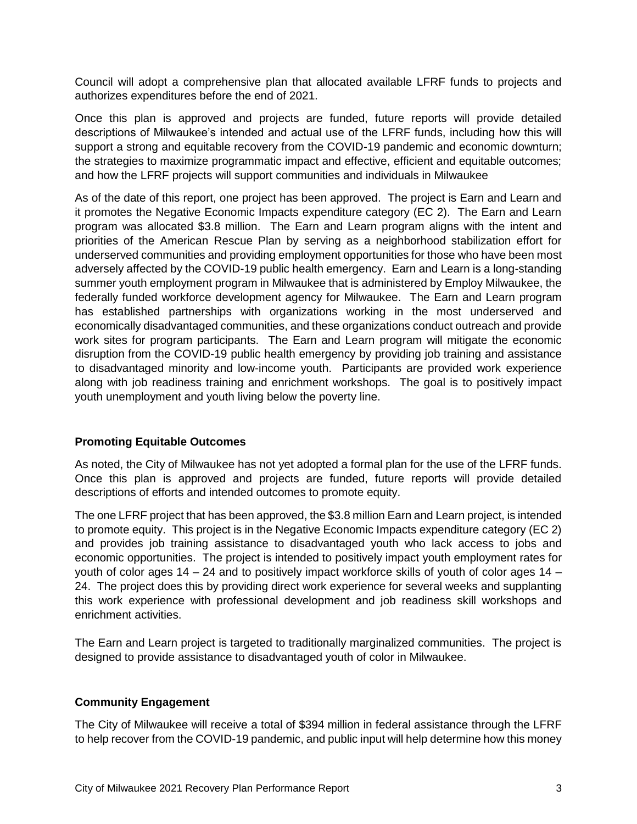Council will adopt a comprehensive plan that allocated available LFRF funds to projects and authorizes expenditures before the end of 2021.

Once this plan is approved and projects are funded, future reports will provide detailed descriptions of Milwaukee's intended and actual use of the LFRF funds, including how this will support a strong and equitable recovery from the COVID-19 pandemic and economic downturn; the strategies to maximize programmatic impact and effective, efficient and equitable outcomes; and how the LFRF projects will support communities and individuals in Milwaukee

As of the date of this report, one project has been approved. The project is Earn and Learn and it promotes the Negative Economic Impacts expenditure category (EC 2). The Earn and Learn program was allocated \$3.8 million. The Earn and Learn program aligns with the intent and priorities of the American Rescue Plan by serving as a neighborhood stabilization effort for underserved communities and providing employment opportunities for those who have been most adversely affected by the COVID-19 public health emergency. Earn and Learn is a long-standing summer youth employment program in Milwaukee that is administered by Employ Milwaukee, the federally funded workforce development agency for Milwaukee. The Earn and Learn program has established partnerships with organizations working in the most underserved and economically disadvantaged communities, and these organizations conduct outreach and provide work sites for program participants. The Earn and Learn program will mitigate the economic disruption from the COVID-19 public health emergency by providing job training and assistance to disadvantaged minority and low-income youth. Participants are provided work experience along with job readiness training and enrichment workshops. The goal is to positively impact youth unemployment and youth living below the poverty line.

#### **Promoting Equitable Outcomes**

As noted, the City of Milwaukee has not yet adopted a formal plan for the use of the LFRF funds. Once this plan is approved and projects are funded, future reports will provide detailed descriptions of efforts and intended outcomes to promote equity.

The one LFRF project that has been approved, the \$3.8 million Earn and Learn project, is intended to promote equity. This project is in the Negative Economic Impacts expenditure category (EC 2) and provides job training assistance to disadvantaged youth who lack access to jobs and economic opportunities. The project is intended to positively impact youth employment rates for youth of color ages 14 – 24 and to positively impact workforce skills of youth of color ages 14 – 24. The project does this by providing direct work experience for several weeks and supplanting this work experience with professional development and job readiness skill workshops and enrichment activities.

The Earn and Learn project is targeted to traditionally marginalized communities. The project is designed to provide assistance to disadvantaged youth of color in Milwaukee.

#### **Community Engagement**

The City of Milwaukee will receive a total of \$394 million in federal assistance through the LFRF to help recover from the COVID-19 pandemic, and public input will help determine how this money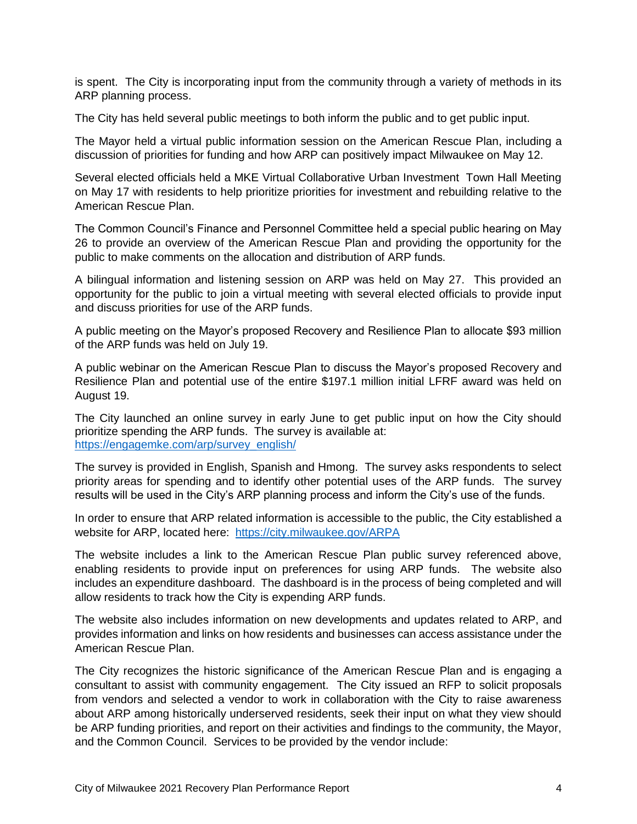is spent. The City is incorporating input from the community through a variety of methods in its ARP planning process.

The City has held several public meetings to both inform the public and to get public input.

The Mayor held a virtual public information session on the American Rescue Plan, including a discussion of priorities for funding and how ARP can positively impact Milwaukee on May 12.

Several elected officials held a MKE Virtual Collaborative Urban Investment Town Hall Meeting on May 17 with residents to help prioritize priorities for investment and rebuilding relative to the American Rescue Plan.

The Common Council's Finance and Personnel Committee held a special public hearing on May 26 to provide an overview of the American Rescue Plan and providing the opportunity for the public to make comments on the allocation and distribution of ARP funds.

A bilingual information and listening session on ARP was held on May 27. This provided an opportunity for the public to join a virtual meeting with several elected officials to provide input and discuss priorities for use of the ARP funds.

A public meeting on the Mayor's proposed Recovery and Resilience Plan to allocate \$93 million of the ARP funds was held on July 19.

A public webinar on the American Rescue Plan to discuss the Mayor's proposed Recovery and Resilience Plan and potential use of the entire \$197.1 million initial LFRF award was held on August 19.

The City launched an online survey in early June to get public input on how the City should prioritize spending the ARP funds. The survey is available at: [https://engagemke.com/arp/survey\\_english/](https://engagemke.com/arp/survey_english/)

The survey is provided in English, Spanish and Hmong. The survey asks respondents to select priority areas for spending and to identify other potential uses of the ARP funds. The survey results will be used in the City's ARP planning process and inform the City's use of the funds.

In order to ensure that ARP related information is accessible to the public, the City established a website for ARP, located here: <https://city.milwaukee.gov/ARPA>

The website includes a link to the American Rescue Plan public survey referenced above, enabling residents to provide input on preferences for using ARP funds. The website also includes an expenditure dashboard. The dashboard is in the process of being completed and will allow residents to track how the City is expending ARP funds.

The website also includes information on new developments and updates related to ARP, and provides information and links on how residents and businesses can access assistance under the American Rescue Plan.

The City recognizes the historic significance of the American Rescue Plan and is engaging a consultant to assist with community engagement. The City issued an RFP to solicit proposals from vendors and selected a vendor to work in collaboration with the City to raise awareness about ARP among historically underserved residents, seek their input on what they view should be ARP funding priorities, and report on their activities and findings to the community, the Mayor, and the Common Council. Services to be provided by the vendor include: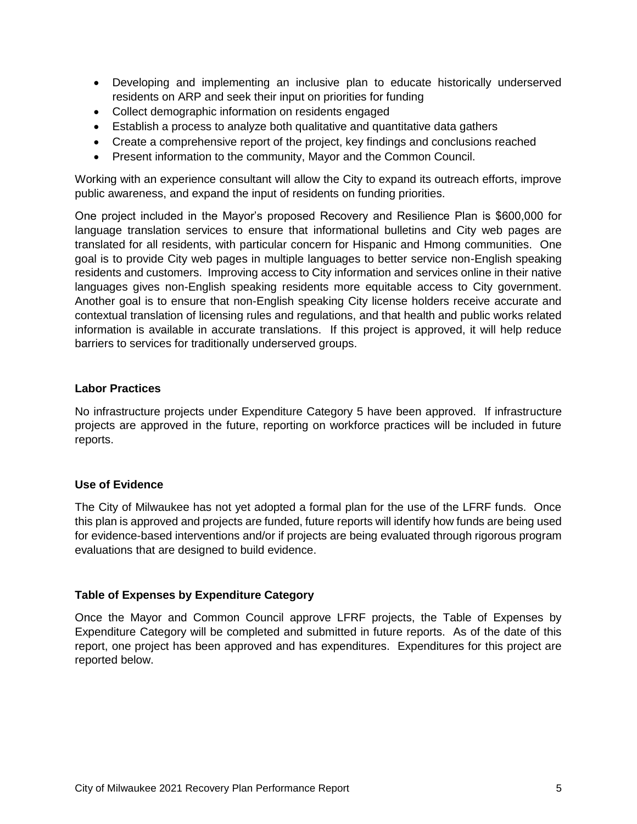- Developing and implementing an inclusive plan to educate historically underserved residents on ARP and seek their input on priorities for funding
- Collect demographic information on residents engaged
- Establish a process to analyze both qualitative and quantitative data gathers
- Create a comprehensive report of the project, key findings and conclusions reached
- Present information to the community, Mayor and the Common Council.

Working with an experience consultant will allow the City to expand its outreach efforts, improve public awareness, and expand the input of residents on funding priorities.

One project included in the Mayor's proposed Recovery and Resilience Plan is \$600,000 for language translation services to ensure that informational bulletins and City web pages are translated for all residents, with particular concern for Hispanic and Hmong communities. One goal is to provide City web pages in multiple languages to better service non-English speaking residents and customers. Improving access to City information and services online in their native languages gives non-English speaking residents more equitable access to City government. Another goal is to ensure that non-English speaking City license holders receive accurate and contextual translation of licensing rules and regulations, and that health and public works related information is available in accurate translations. If this project is approved, it will help reduce barriers to services for traditionally underserved groups.

#### **Labor Practices**

No infrastructure projects under Expenditure Category 5 have been approved. If infrastructure projects are approved in the future, reporting on workforce practices will be included in future reports.

#### **Use of Evidence**

The City of Milwaukee has not yet adopted a formal plan for the use of the LFRF funds. Once this plan is approved and projects are funded, future reports will identify how funds are being used for evidence-based interventions and/or if projects are being evaluated through rigorous program evaluations that are designed to build evidence.

#### **Table of Expenses by Expenditure Category**

Once the Mayor and Common Council approve LFRF projects, the Table of Expenses by Expenditure Category will be completed and submitted in future reports. As of the date of this report, one project has been approved and has expenditures. Expenditures for this project are reported below.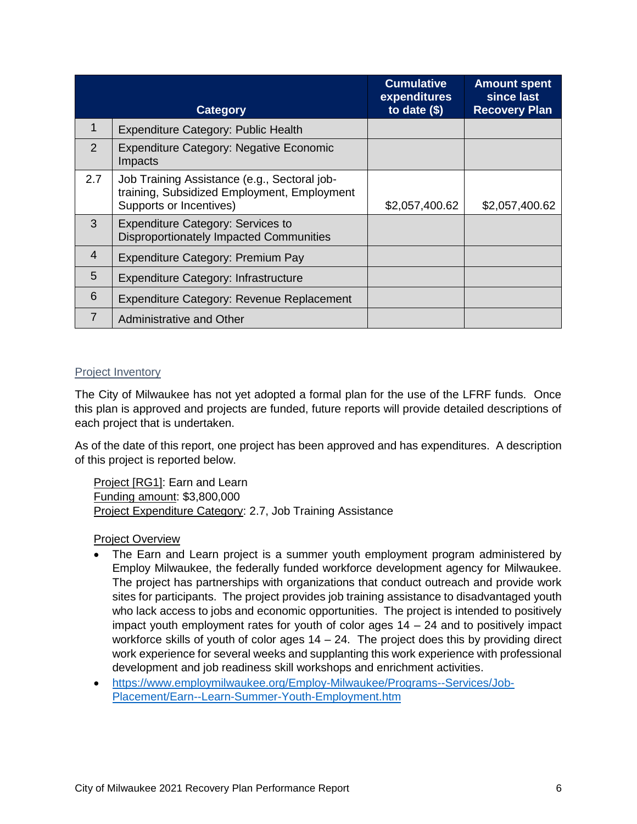|                | <b>Category</b>                                                                                                        | <b>Cumulative</b><br>expenditures<br>to date $($)$ | <b>Amount spent</b><br>since last<br><b>Recovery Plan</b> |
|----------------|------------------------------------------------------------------------------------------------------------------------|----------------------------------------------------|-----------------------------------------------------------|
| 1              | <b>Expenditure Category: Public Health</b>                                                                             |                                                    |                                                           |
| 2              | <b>Expenditure Category: Negative Economic</b><br>Impacts                                                              |                                                    |                                                           |
| 2.7            | Job Training Assistance (e.g., Sectoral job-<br>training, Subsidized Employment, Employment<br>Supports or Incentives) | \$2,057,400.62                                     | \$2,057,400.62                                            |
| 3              | <b>Expenditure Category: Services to</b><br>Disproportionately Impacted Communities                                    |                                                    |                                                           |
| $\overline{4}$ | Expenditure Category: Premium Pay                                                                                      |                                                    |                                                           |
| 5              | <b>Expenditure Category: Infrastructure</b>                                                                            |                                                    |                                                           |
| 6              | Expenditure Category: Revenue Replacement                                                                              |                                                    |                                                           |
| $\overline{7}$ | Administrative and Other                                                                                               |                                                    |                                                           |

#### Project Inventory

The City of Milwaukee has not yet adopted a formal plan for the use of the LFRF funds. Once this plan is approved and projects are funded, future reports will provide detailed descriptions of each project that is undertaken.

As of the date of this report, one project has been approved and has expenditures. A description of this project is reported below.

Project [RG1]: Earn and Learn Funding amount: \$3,800,000 Project Expenditure Category: 2.7, Job Training Assistance

#### Project Overview

- The Earn and Learn project is a summer youth employment program administered by Employ Milwaukee, the federally funded workforce development agency for Milwaukee. The project has partnerships with organizations that conduct outreach and provide work sites for participants. The project provides job training assistance to disadvantaged youth who lack access to jobs and economic opportunities. The project is intended to positively impact youth employment rates for youth of color ages 14 – 24 and to positively impact workforce skills of youth of color ages 14 – 24. The project does this by providing direct work experience for several weeks and supplanting this work experience with professional development and job readiness skill workshops and enrichment activities.
- [https://www.employmilwaukee.org/Employ-Milwaukee/Programs--Services/Job-](https://www.employmilwaukee.org/Employ-Milwaukee/Programs--Services/Job-Placement/Earn--Learn-Summer-Youth-Employment.htm)[Placement/Earn--Learn-Summer-Youth-Employment.htm](https://www.employmilwaukee.org/Employ-Milwaukee/Programs--Services/Job-Placement/Earn--Learn-Summer-Youth-Employment.htm)